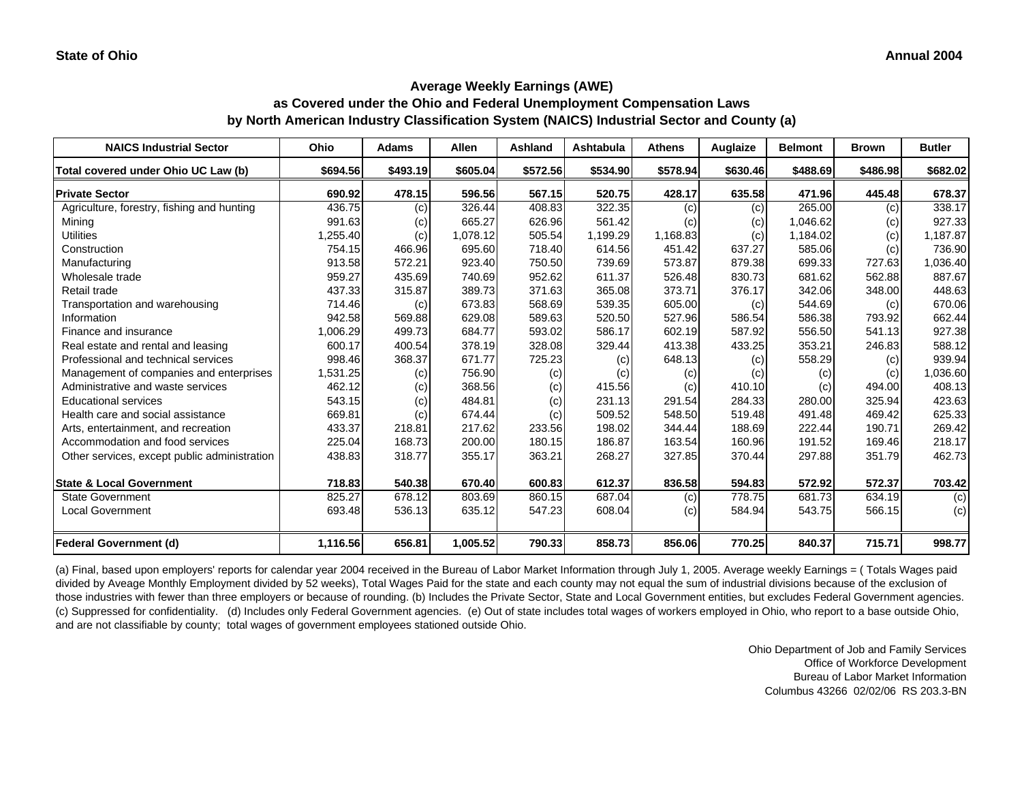**as Covered under the Ohio and Federal Unemployment Compensation Laws by North American Industry Classification System (NAICS) Industrial Sector and County (a)**

| <b>NAICS Industrial Sector</b>               | Ohio     | <b>Adams</b> | <b>Allen</b> | Ashland  | Ashtabula | <b>Athens</b> | Auglaize | <b>Belmont</b> | <b>Brown</b> | <b>Butler</b> |
|----------------------------------------------|----------|--------------|--------------|----------|-----------|---------------|----------|----------------|--------------|---------------|
| Total covered under Ohio UC Law (b)          | \$694.56 | \$493.19     | \$605.04     | \$572.56 | \$534.90  | \$578.94      | \$630.46 | \$488.69       | \$486.98     | \$682.02      |
| <b>Private Sector</b>                        | 690.92   | 478.15       | 596.56       | 567.15   | 520.75    | 428.17        | 635.58   | 471.96         | 445.48       | 678.37        |
| Agriculture, forestry, fishing and hunting   | 436.75   | (c)          | 326.44       | 408.83   | 322.35    | (c)           | (c)      | 265.00         | (c)          | 338.17        |
| Mining                                       | 991.63   | (c)          | 665.27       | 626.96   | 561.42    | (c)           | (c)      | 1,046.62       | (c)          | 927.33        |
| <b>Utilities</b>                             | 1,255.40 | (c)          | 1,078.12     | 505.54   | 1,199.29  | 1,168.83      | (c)      | 1,184.02       | (c)          | 1,187.87      |
| Construction                                 | 754.15   | 466.96       | 695.60       | 718.40   | 614.56    | 451.42        | 637.27   | 585.06         | (c)          | 736.90        |
| Manufacturing                                | 913.58   | 572.21       | 923.40       | 750.50   | 739.69    | 573.87        | 879.38   | 699.33         | 727.63       | 1,036.40      |
| Wholesale trade                              | 959.27   | 435.69       | 740.69       | 952.62   | 611.37    | 526.48        | 830.73   | 681.62         | 562.88       | 887.67        |
| Retail trade                                 | 437.33   | 315.87       | 389.73       | 371.63   | 365.08    | 373.71        | 376.17   | 342.06         | 348.00       | 448.63        |
| Transportation and warehousing               | 714.46   | (c)          | 673.83       | 568.69   | 539.35    | 605.00        | (c)      | 544.69         | (c)          | 670.06        |
| Information                                  | 942.58   | 569.88       | 629.08       | 589.63   | 520.50    | 527.96        | 586.54   | 586.38         | 793.92       | 662.44        |
| Finance and insurance                        | 1,006.29 | 499.73       | 684.77       | 593.02   | 586.17    | 602.19        | 587.92   | 556.50         | 541.13       | 927.38        |
| Real estate and rental and leasing           | 600.17   | 400.54       | 378.19       | 328.08   | 329.44    | 413.38        | 433.25   | 353.21         | 246.83       | 588.12        |
| Professional and technical services          | 998.46   | 368.37       | 671.77       | 725.23   | (c)       | 648.13        | (c)      | 558.29         | (c)          | 939.94        |
| Management of companies and enterprises      | 1,531.25 | (c)          | 756.90       | (c)      | (c)       | (c)           | (c)      | (c)            | (c)          | 1,036.60      |
| Administrative and waste services            | 462.12   | (c)          | 368.56       | (c)      | 415.56    | (c)           | 410.10   | (c)            | 494.00       | 408.13        |
| <b>Educational services</b>                  | 543.15   | (c)          | 484.81       | (c)      | 231.13    | 291.54        | 284.33   | 280.00         | 325.94       | 423.63        |
| Health care and social assistance            | 669.81   | (c)          | 674.44       | (c)      | 509.52    | 548.50        | 519.48   | 491.48         | 469.42       | 625.33        |
| Arts, entertainment, and recreation          | 433.37   | 218.81       | 217.62       | 233.56   | 198.02    | 344.44        | 188.69   | 222.44         | 190.71       | 269.42        |
| Accommodation and food services              | 225.04   | 168.73       | 200.00       | 180.15   | 186.87    | 163.54        | 160.96   | 191.52         | 169.46       | 218.17        |
| Other services, except public administration | 438.83   | 318.77       | 355.17       | 363.21   | 268.27    | 327.85        | 370.44   | 297.88         | 351.79       | 462.73        |
| <b>State &amp; Local Government</b>          | 718.83   | 540.38       | 670.40       | 600.83   | 612.37    | 836.58        | 594.83   | 572.92         | 572.37       | 703.42        |
| <b>State Government</b>                      | 825.27   | 678.12       | 803.69       | 860.15   | 687.04    | (c)           | 778.75   | 681.73         | 634.19       | (c)           |
| <b>Local Government</b>                      | 693.48   | 536.13       | 635.12       | 547.23   | 608.04    | (c)           | 584.94   | 543.75         | 566.15       | (c)           |
| <b>Federal Government (d)</b>                | 1,116.56 | 656.81       | 1,005.52     | 790.33   | 858.73    | 856.06        | 770.25   | 840.37         | 715.71       | 998.77        |

(a) Final, based upon employers' reports for calendar year 2004 received in the Bureau of Labor Market Information through July 1, 2005. Average weekly Earnings = ( Totals Wages paid divided by Aveage Monthly Employment divided by 52 weeks), Total Wages Paid for the state and each county may not equal the sum of industrial divisions because of the exclusion of those industries with fewer than three employers or because of rounding. (b) Includes the Private Sector, State and Local Government entities, but excludes Federal Government agencies. (c) Suppressed for confidentiality. (d) Includes only Federal Government agencies. (e) Out of state includes total wages of workers employed in Ohio, who report to a base outside Ohio, and are not classifiable by county; total wages of government employees stationed outside Ohio.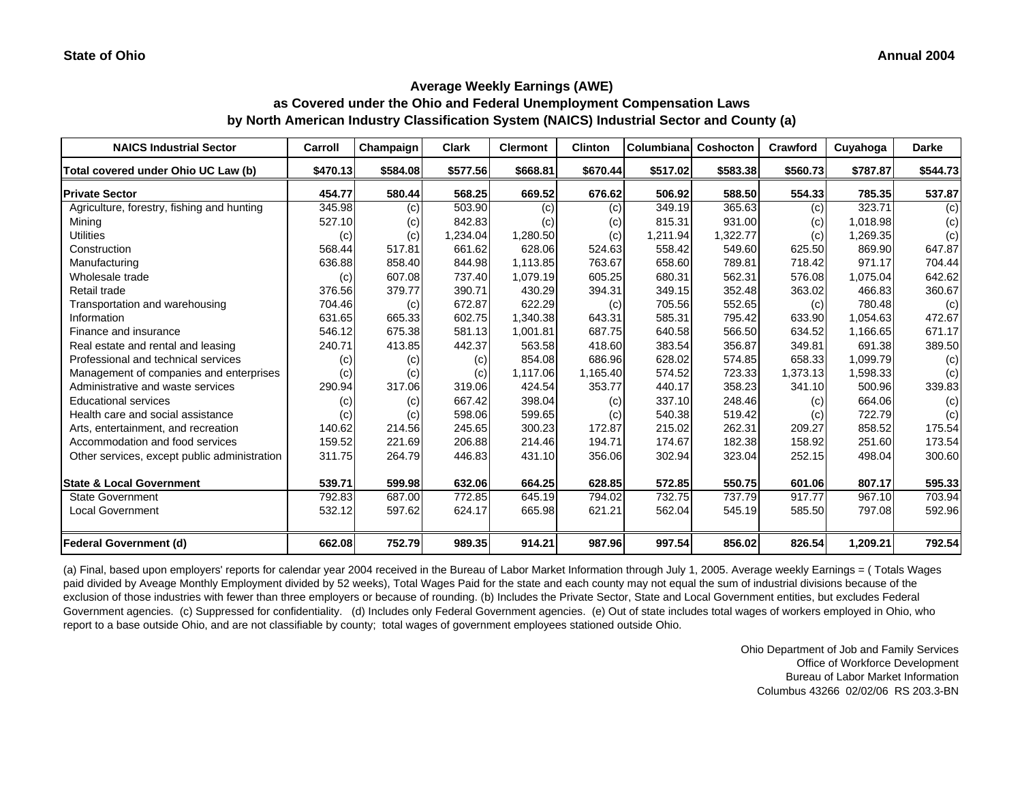**as Covered under the Ohio and Federal Unemployment Compensation Laws by North American Industry Classification System (NAICS) Industrial Sector and County (a)**

| <b>NAICS Industrial Sector</b>               | Carroll  | Champaign | Clark    | <b>Clermont</b> | <b>Clinton</b> | Columbiana | Coshocton | Crawford | Cuyahoga | <b>Darke</b> |
|----------------------------------------------|----------|-----------|----------|-----------------|----------------|------------|-----------|----------|----------|--------------|
| Total covered under Ohio UC Law (b)          | \$470.13 | \$584.08  | \$577.56 | \$668.81        | \$670.44       | \$517.02   | \$583.38  | \$560.73 | \$787.87 | \$544.73     |
| <b>Private Sector</b>                        | 454.77   | 580.44    | 568.25   | 669.52          | 676.62         | 506.92     | 588.50    | 554.33   | 785.35   | 537.87       |
| Agriculture, forestry, fishing and hunting   | 345.98   | (c)       | 503.90   | (c)             | (c)            | 349.19     | 365.63    | (c)      | 323.71   | (c)          |
| Mining                                       | 527.10   | (c)       | 842.83   | (c)             | (c)            | 815.31     | 931.00    | (c)      | 1.018.98 | (c)          |
| <b>Utilities</b>                             | (c)      | (c)       | 1,234.04 | 1,280.50        | (c)            | 1,211.94   | 1,322.77  | (c)      | 1,269.35 | (c)          |
| Construction                                 | 568.44   | 517.81    | 661.62   | 628.06          | 524.63         | 558.42     | 549.60    | 625.50   | 869.90   | 647.87       |
| Manufacturing                                | 636.88   | 858.40    | 844.98   | 1.113.85        | 763.67         | 658.60     | 789.81    | 718.42   | 971.17   | 704.44       |
| Wholesale trade                              | (c)      | 607.08    | 737.40   | 1,079.19        | 605.25         | 680.31     | 562.31    | 576.08   | 1,075.04 | 642.62       |
| Retail trade                                 | 376.56   | 379.77    | 390.71   | 430.29          | 394.31         | 349.15     | 352.48    | 363.02   | 466.83   | 360.67       |
| Transportation and warehousing               | 704.46   | (c)       | 672.87   | 622.29          | (c)            | 705.56     | 552.65    | (c)      | 780.48   | (c)          |
| Information                                  | 631.65   | 665.33    | 602.75   | 1,340.38        | 643.31         | 585.31     | 795.42    | 633.90   | 1.054.63 | 472.67       |
| Finance and insurance                        | 546.12   | 675.38    | 581.13   | 1,001.81        | 687.75         | 640.58     | 566.50    | 634.52   | 1,166.65 | 671.17       |
| Real estate and rental and leasing           | 240.71   | 413.85    | 442.37   | 563.58          | 418.60         | 383.54     | 356.87    | 349.81   | 691.38   | 389.50       |
| Professional and technical services          | (c)      | (c)       | (c)      | 854.08          | 686.96         | 628.02     | 574.85    | 658.33   | 1,099.79 | (c)          |
| Management of companies and enterprises      | (c)      | (c)       | (c)      | 1,117.06        | 1,165.40       | 574.52     | 723.33    | 1,373.13 | 1,598.33 | (c)          |
| Administrative and waste services            | 290.94   | 317.06    | 319.06   | 424.54          | 353.77         | 440.17     | 358.23    | 341.10   | 500.96   | 339.83       |
| <b>Educational services</b>                  | (c)      | (c)       | 667.42   | 398.04          | (c)            | 337.10     | 248.46    | (c)      | 664.06   | (c)          |
| Health care and social assistance            | (c)      | (c)       | 598.06   | 599.65          | (c)            | 540.38     | 519.42    | (c)      | 722.79   | (c)          |
| Arts, entertainment, and recreation          | 140.62   | 214.56    | 245.65   | 300.23          | 172.87         | 215.02     | 262.31    | 209.27   | 858.52   | 175.54       |
| Accommodation and food services              | 159.52   | 221.69    | 206.88   | 214.46          | 194.71         | 174.67     | 182.38    | 158.92   | 251.60   | 173.54       |
| Other services, except public administration | 311.75   | 264.79    | 446.83   | 431.10          | 356.06         | 302.94     | 323.04    | 252.15   | 498.04   | 300.60       |
| <b>State &amp; Local Government</b>          | 539.71   | 599.98    | 632.06   | 664.25          | 628.85         | 572.85     | 550.75    | 601.06   | 807.17   | 595.33       |
| <b>State Government</b>                      | 792.83   | 687.00    | 772.85   | 645.19          | 794.02         | 732.75     | 737.79    | 917.77   | 967.10   | 703.94       |
| <b>Local Government</b>                      | 532.12   | 597.62    | 624.17   | 665.98          | 621.21         | 562.04     | 545.19    | 585.50   | 797.08   | 592.96       |
| <b>Federal Government (d)</b>                | 662.08   | 752.79    | 989.35   | 914.21          | 987.96         | 997.54     | 856.02    | 826.54   | 1,209.21 | 792.54       |

(a) Final, based upon employers' reports for calendar year 2004 received in the Bureau of Labor Market Information through July 1, 2005. Average weekly Earnings = ( Totals Wages paid divided by Aveage Monthly Employment divided by 52 weeks), Total Wages Paid for the state and each county may not equal the sum of industrial divisions because of the exclusion of those industries with fewer than three employers or because of rounding. (b) Includes the Private Sector, State and Local Government entities, but excludes Federal Government agencies. (c) Suppressed for confidentiality. (d) Includes only Federal Government agencies. (e) Out of state includes total wages of workers employed in Ohio, who report to a base outside Ohio, and are not classifiable by county; total wages of government employees stationed outside Ohio.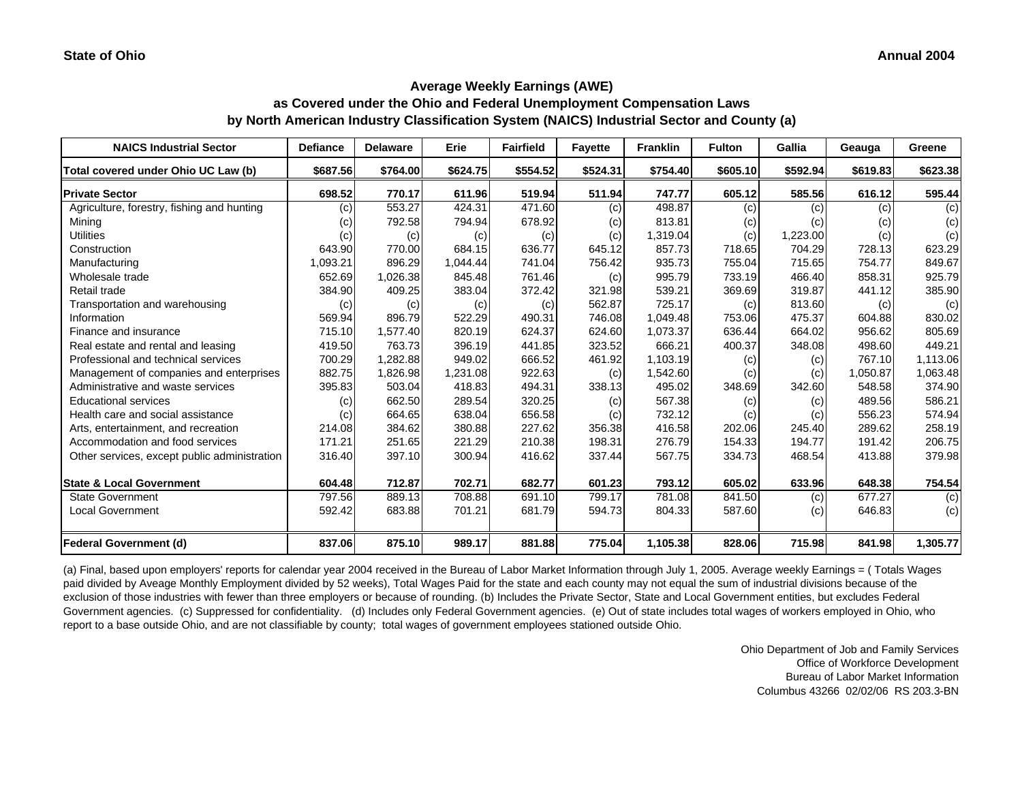#### **Average Weekly Earnings (AWE) as Covered under the Ohio and Federal Unemployment Compensation Laws**

**by North American Industry Classification System (NAICS) Industrial Sector and County (a)**

| <b>NAICS Industrial Sector</b>               | <b>Defiance</b> | <b>Delaware</b> | Erie     | <b>Fairfield</b> | <b>Favette</b> | <b>Franklin</b> | <b>Fulton</b> | Gallia   | Geauga   | Greene   |
|----------------------------------------------|-----------------|-----------------|----------|------------------|----------------|-----------------|---------------|----------|----------|----------|
| Total covered under Ohio UC Law (b)          | \$687.56        | \$764.00        | \$624.75 | \$554.52         | \$524.31       | \$754.40        | \$605.10      | \$592.94 | \$619.83 | \$623.38 |
| <b>Private Sector</b>                        | 698.52          | 770.17          | 611.96   | 519.94           | 511.94         | 747.77          | 605.12        | 585.56   | 616.12   | 595.44   |
| Agriculture, forestry, fishing and hunting   | (c)             | 553.27          | 424.31   | 471.60           | (c)            | 498.87          | (c)           | (c)      | (c)      | (c)      |
| Mining                                       | (c)             | 792.58          | 794.94   | 678.92           | (c)            | 813.81          | (c)           | (c)      | (c)      | (c)      |
| <b>Utilities</b>                             | (c)             | (c)             | (c)      | (c)              | (c)            | 1,319.04        | (c)           | 1,223.00 | (c)      | (c)      |
| Construction                                 | 643.90          | 770.00          | 684.15   | 636.77           | 645.12         | 857.73          | 718.65        | 704.29   | 728.13   | 623.29   |
| Manufacturing                                | 1,093.21        | 896.29          | 1.044.44 | 741.04           | 756.42         | 935.73          | 755.04        | 715.65   | 754.77   | 849.67   |
| Wholesale trade                              | 652.69          | 1,026.38        | 845.48   | 761.46           | (c)            | 995.79          | 733.19        | 466.40   | 858.31   | 925.79   |
| Retail trade                                 | 384.90          | 409.25          | 383.04   | 372.42           | 321.98         | 539.21          | 369.69        | 319.87   | 441.12   | 385.90   |
| Transportation and warehousing               | (c)             | (c)             | (c)      | (c)              | 562.87         | 725.17          | (c)           | 813.60   | (c)      | (c)      |
| Information                                  | 569.94          | 896.79          | 522.29   | 490.31           | 746.08         | 1.049.48        | 753.06        | 475.37   | 604.88   | 830.02   |
| Finance and insurance                        | 715.10          | 1,577.40        | 820.19   | 624.37           | 624.60         | 1,073.37        | 636.44        | 664.02   | 956.62   | 805.69   |
| Real estate and rental and leasing           | 419.50          | 763.73          | 396.19   | 441.85           | 323.52         | 666.21          | 400.37        | 348.08   | 498.60   | 449.21   |
| Professional and technical services          | 700.29          | 1,282.88        | 949.02   | 666.52           | 461.92         | 1,103.19        | (c)           | (c)      | 767.10   | 1,113.06 |
| Management of companies and enterprises      | 882.75          | 1,826.98        | 1,231.08 | 922.63           | (c)            | 1,542.60        | (c)           | (c)      | 1,050.87 | 1,063.48 |
| Administrative and waste services            | 395.83          | 503.04          | 418.83   | 494.31           | 338.13         | 495.02          | 348.69        | 342.60   | 548.58   | 374.90   |
| <b>Educational services</b>                  | (c)             | 662.50          | 289.54   | 320.25           | (c)            | 567.38          | (c)           | (c)      | 489.56   | 586.21   |
| Health care and social assistance            | (c)             | 664.65          | 638.04   | 656.58           | (c)            | 732.12          | (c)           | (c)      | 556.23   | 574.94   |
| Arts, entertainment, and recreation          | 214.08          | 384.62          | 380.88   | 227.62           | 356.38         | 416.58          | 202.06        | 245.40   | 289.62   | 258.19   |
| Accommodation and food services              | 171.21          | 251.65          | 221.29   | 210.38           | 198.31         | 276.79          | 154.33        | 194.77   | 191.42   | 206.75   |
| Other services, except public administration | 316.40          | 397.10          | 300.94   | 416.62           | 337.44         | 567.75          | 334.73        | 468.54   | 413.88   | 379.98   |
| <b>State &amp; Local Government</b>          | 604.48          | 712.87          | 702.71   | 682.77           | 601.23         | 793.12          | 605.02        | 633.96   | 648.38   | 754.54   |
| <b>State Government</b>                      | 797.56          | 889.13          | 708.88   | 691.10           | 799.17         | 781.08          | 841.50        | (c)      | 677.27   | (c)      |
| <b>Local Government</b>                      | 592.42          | 683.88          | 701.21   | 681.79           | 594.73         | 804.33          | 587.60        | (c)      | 646.83   | (c)      |
| <b>Federal Government (d)</b>                | 837.06          | 875.10          | 989.17   | 881.88           | 775.04         | 1,105.38        | 828.06        | 715.98   | 841.98   | 1,305.77 |

(a) Final, based upon employers' reports for calendar year 2004 received in the Bureau of Labor Market Information through July 1, 2005. Average weekly Earnings = ( Totals Wages paid divided by Aveage Monthly Employment divided by 52 weeks), Total Wages Paid for the state and each county may not equal the sum of industrial divisions because of the exclusion of those industries with fewer than three employers or because of rounding. (b) Includes the Private Sector, State and Local Government entities, but excludes Federal Government agencies. (c) Suppressed for confidentiality. (d) Includes only Federal Government agencies. (e) Out of state includes total wages of workers employed in Ohio, who report to a base outside Ohio, and are not classifiable by county; total wages of government employees stationed outside Ohio.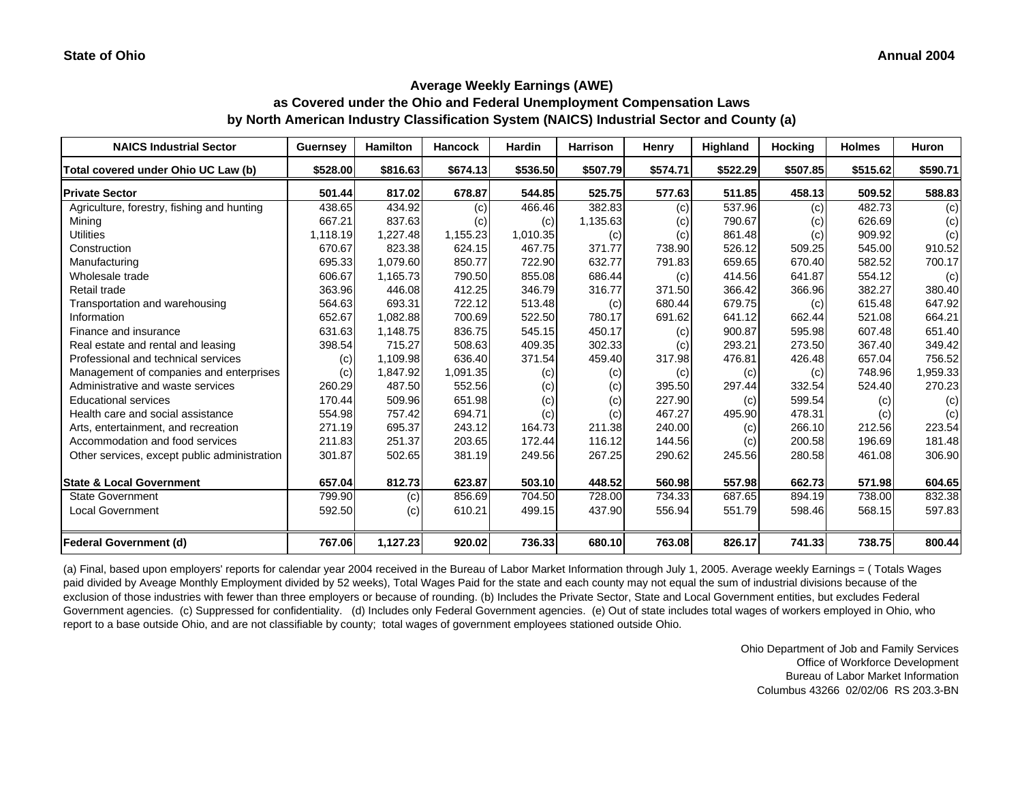## **Average Weekly Earnings (AWE) as Covered under the Ohio and Federal Unemployment Compensation Laws by North American Industry Classification System (NAICS) Industrial Sector and County (a)**

| <b>NAICS Industrial Sector</b>               | Guernsey | <b>Hamilton</b> | <b>Hancock</b> | <b>Hardin</b> | <b>Harrison</b> | Henry    | <b>Highland</b> | <b>Hocking</b> | <b>Holmes</b> | <b>Huron</b> |
|----------------------------------------------|----------|-----------------|----------------|---------------|-----------------|----------|-----------------|----------------|---------------|--------------|
| Total covered under Ohio UC Law (b)          | \$528.00 | \$816.63        | \$674.13       | \$536.50      | \$507.79        | \$574.71 | \$522.29        | \$507.85       | \$515.62      | \$590.71     |
| <b>Private Sector</b>                        | 501.44   | 817.02          | 678.87         | 544.85        | 525.75          | 577.63   | 511.85          | 458.13         | 509.52        | 588.83       |
| Agriculture, forestry, fishing and hunting   | 438.65   | 434.92          | (c)            | 466.46        | 382.83          | (c)      | 537.96          | (c)            | 482.73        | (c)          |
| Mining                                       | 667.21   | 837.63          | (c)            | (c)           | 1,135.63        | (c)      | 790.67          | (c)            | 626.69        | (c)          |
| <b>Utilities</b>                             | 1,118.19 | 1,227.48        | 1,155.23       | 1,010.35      | (c)             | (c)      | 861.48          | (c)            | 909.92        | (c)          |
| Construction                                 | 670.67   | 823.38          | 624.15         | 467.75        | 371.77          | 738.90   | 526.12          | 509.25         | 545.00        | 910.52       |
| Manufacturing                                | 695.33   | 1,079.60        | 850.77         | 722.90        | 632.77          | 791.83   | 659.65          | 670.40         | 582.52        | 700.17       |
| Wholesale trade                              | 606.67   | 1,165.73        | 790.50         | 855.08        | 686.44          | (c)      | 414.56          | 641.87         | 554.12        | (c)          |
| Retail trade                                 | 363.96   | 446.08          | 412.25         | 346.79        | 316.77          | 371.50   | 366.42          | 366.96         | 382.27        | 380.40       |
| Transportation and warehousing               | 564.63   | 693.31          | 722.12         | 513.48        | (c)             | 680.44   | 679.75          | (c)            | 615.48        | 647.92       |
| Information                                  | 652.67   | 1,082.88        | 700.69         | 522.50        | 780.17          | 691.62   | 641.12          | 662.44         | 521.08        | 664.21       |
| Finance and insurance                        | 631.63   | 1,148.75        | 836.75         | 545.15        | 450.17          | (c)      | 900.87          | 595.98         | 607.48        | 651.40       |
| Real estate and rental and leasing           | 398.54   | 715.27          | 508.63         | 409.35        | 302.33          | (c)      | 293.21          | 273.50         | 367.40        | 349.42       |
| Professional and technical services          | (c)      | 1,109.98        | 636.40         | 371.54        | 459.40          | 317.98   | 476.81          | 426.48         | 657.04        | 756.52       |
| Management of companies and enterprises      | (c)      | 1,847.92        | 1,091.35       | (c)           | (c)             | (c)      | (c)             | (c)            | 748.96        | 1,959.33     |
| Administrative and waste services            | 260.29   | 487.50          | 552.56         | (c)           | (c)             | 395.50   | 297.44          | 332.54         | 524.40        | 270.23       |
| <b>Educational services</b>                  | 170.44   | 509.96          | 651.98         | (c)           | (c)             | 227.90   | (c)             | 599.54         | (c)           | (c)          |
| Health care and social assistance            | 554.98   | 757.42          | 694.71         | (c)           | (c)             | 467.27   | 495.90          | 478.31         | (c)           | (c)          |
| Arts, entertainment, and recreation          | 271.19   | 695.37          | 243.12         | 164.73        | 211.38          | 240.00   | (c)             | 266.10         | 212.56        | 223.54       |
| Accommodation and food services              | 211.83   | 251.37          | 203.65         | 172.44        | 116.12          | 144.56   | (c)             | 200.58         | 196.69        | 181.48       |
| Other services, except public administration | 301.87   | 502.65          | 381.19         | 249.56        | 267.25          | 290.62   | 245.56          | 280.58         | 461.08        | 306.90       |
| <b>State &amp; Local Government</b>          | 657.04   | 812.73          | 623.87         | 503.10        | 448.52          | 560.98   | 557.98          | 662.73         | 571.98        | 604.65       |
| State Government                             | 799.90   | (c)             | 856.69         | 704.50        | 728.00          | 734.33   | 687.65          | 894.19         | 738.00        | 832.38       |
| <b>Local Government</b>                      | 592.50   | (c)             | 610.21         | 499.15        | 437.90          | 556.94   | 551.79          | 598.46         | 568.15        | 597.83       |
| <b>Federal Government (d)</b>                | 767.06   | 1,127.23        | 920.02         | 736.33        | 680.10          | 763.08   | 826.17          | 741.33         | 738.75        | 800.44       |

(a) Final, based upon employers' reports for calendar year 2004 received in the Bureau of Labor Market Information through July 1, 2005. Average weekly Earnings = ( Totals Wages paid divided by Aveage Monthly Employment divided by 52 weeks), Total Wages Paid for the state and each county may not equal the sum of industrial divisions because of the exclusion of those industries with fewer than three employers or because of rounding. (b) Includes the Private Sector, State and Local Government entities, but excludes Federal Government agencies. (c) Suppressed for confidentiality. (d) Includes only Federal Government agencies. (e) Out of state includes total wages of workers employed in Ohio, who report to a base outside Ohio, and are not classifiable by county; total wages of government employees stationed outside Ohio.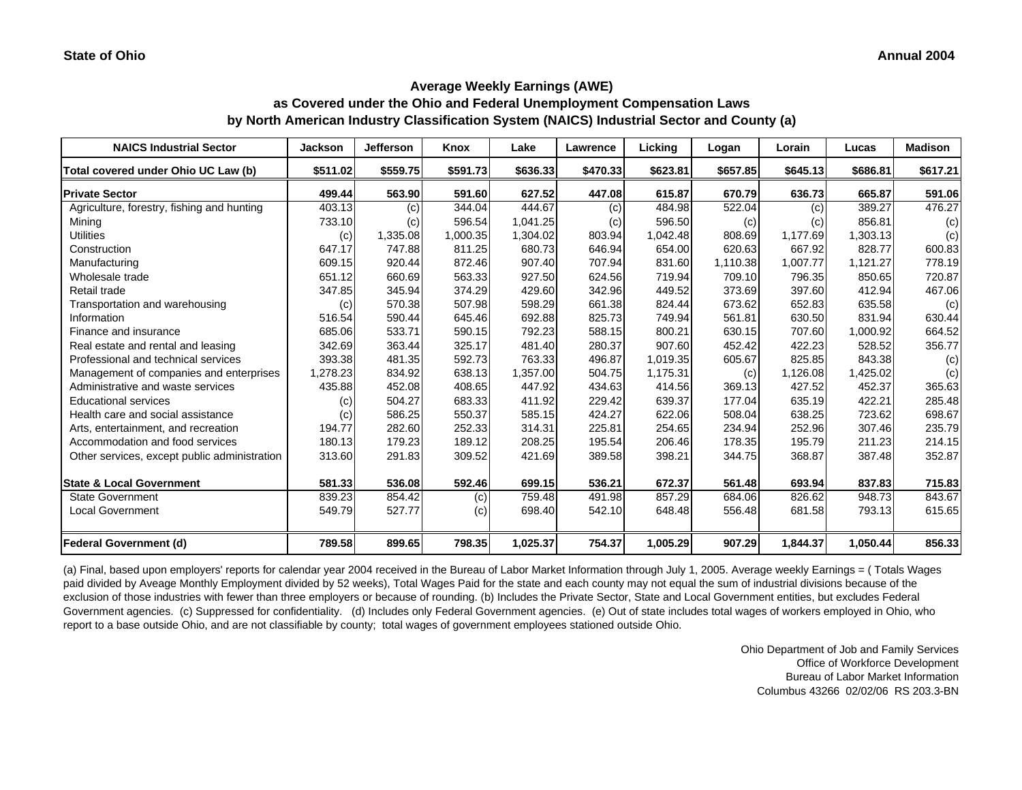**as Covered under the Ohio and Federal Unemployment Compensation Laws by North American Industry Classification System (NAICS) Industrial Sector and County (a)**

| <b>NAICS Industrial Sector</b>               | <b>Jackson</b> | <b>Jefferson</b> | Knox     | Lake     | Lawrence | Licking  | Logan    | Lorain   | Lucas    | <b>Madison</b> |
|----------------------------------------------|----------------|------------------|----------|----------|----------|----------|----------|----------|----------|----------------|
| Total covered under Ohio UC Law (b)          | \$511.02       | \$559.75         | \$591.73 | \$636.33 | \$470.33 | \$623.81 | \$657.85 | \$645.13 | \$686.81 | \$617.21       |
| <b>Private Sector</b>                        | 499.44         | 563.90           | 591.60   | 627.52   | 447.08   | 615.87   | 670.79   | 636.73   | 665.87   | 591.06         |
| Agriculture, forestry, fishing and hunting   | 403.13         | (c)              | 344.04   | 444.67   | (c)      | 484.98   | 522.04   | (c)      | 389.27   | 476.27         |
| Mining                                       | 733.10         | (c)              | 596.54   | 1,041.25 | (c)      | 596.50   | (c)      | (c)      | 856.81   | (c)            |
| <b>Utilities</b>                             | (c)            | 1,335.08         | 1,000.35 | 1,304.02 | 803.94   | 1,042.48 | 808.69   | 1,177.69 | 1,303.13 | (c)            |
| Construction                                 | 647.17         | 747.88           | 811.25   | 680.73   | 646.94   | 654.00   | 620.63   | 667.92   | 828.77   | 600.83         |
| Manufacturing                                | 609.15         | 920.44           | 872.46   | 907.40   | 707.94   | 831.60   | 1,110.38 | 1,007.77 | 1,121.27 | 778.19         |
| Wholesale trade                              | 651.12         | 660.69           | 563.33   | 927.50   | 624.56   | 719.94   | 709.10   | 796.35   | 850.65   | 720.87         |
| Retail trade                                 | 347.85         | 345.94           | 374.29   | 429.60   | 342.96   | 449.52   | 373.69   | 397.60   | 412.94   | 467.06         |
| Transportation and warehousing               | (c)            | 570.38           | 507.98   | 598.29   | 661.38   | 824.44   | 673.62   | 652.83   | 635.58   | (c)            |
| Information                                  | 516.54         | 590.44           | 645.46   | 692.88   | 825.73   | 749.94   | 561.81   | 630.50   | 831.94   | 630.44         |
| Finance and insurance                        | 685.06         | 533.71           | 590.15   | 792.23   | 588.15   | 800.21   | 630.15   | 707.60   | 1,000.92 | 664.52         |
| Real estate and rental and leasing           | 342.69         | 363.44           | 325.17   | 481.40   | 280.37   | 907.60   | 452.42   | 422.23   | 528.52   | 356.77         |
| Professional and technical services          | 393.38         | 481.35           | 592.73   | 763.33   | 496.87   | 1,019.35 | 605.67   | 825.85   | 843.38   | (c)            |
| Management of companies and enterprises      | 1,278.23       | 834.92           | 638.13   | 1,357.00 | 504.75   | 1,175.31 | (c)      | 1,126.08 | 1,425.02 | (c)            |
| Administrative and waste services            | 435.88         | 452.08           | 408.65   | 447.92   | 434.63   | 414.56   | 369.13   | 427.52   | 452.37   | 365.63         |
| <b>Educational services</b>                  | (c)            | 504.27           | 683.33   | 411.92   | 229.42   | 639.37   | 177.04   | 635.19   | 422.21   | 285.48         |
| Health care and social assistance            | (c)            | 586.25           | 550.37   | 585.15   | 424.27   | 622.06   | 508.04   | 638.25   | 723.62   | 698.67         |
| Arts, entertainment, and recreation          | 194.77         | 282.60           | 252.33   | 314.31   | 225.81   | 254.65   | 234.94   | 252.96   | 307.46   | 235.79         |
| Accommodation and food services              | 180.13         | 179.23           | 189.12   | 208.25   | 195.54   | 206.46   | 178.35   | 195.79   | 211.23   | 214.15         |
| Other services, except public administration | 313.60         | 291.83           | 309.52   | 421.69   | 389.58   | 398.21   | 344.75   | 368.87   | 387.48   | 352.87         |
| <b>State &amp; Local Government</b>          | 581.33         | 536.08           | 592.46   | 699.15   | 536.21   | 672.37   | 561.48   | 693.94   | 837.83   | 715.83         |
| <b>State Government</b>                      | 839.23         | 854.42           | (c)      | 759.48   | 491.98   | 857.29   | 684.06   | 826.62   | 948.73   | 843.67         |
| <b>Local Government</b>                      | 549.79         | 527.77           | (c)      | 698.40   | 542.10   | 648.48   | 556.48   | 681.58   | 793.13   | 615.65         |
| <b>Federal Government (d)</b>                | 789.58         | 899.65           | 798.35   | 1,025.37 | 754.37   | 1,005.29 | 907.29   | 1,844.37 | 1,050.44 | 856.33         |

(a) Final, based upon employers' reports for calendar year 2004 received in the Bureau of Labor Market Information through July 1, 2005. Average weekly Earnings = ( Totals Wages paid divided by Aveage Monthly Employment divided by 52 weeks), Total Wages Paid for the state and each county may not equal the sum of industrial divisions because of the exclusion of those industries with fewer than three employers or because of rounding. (b) Includes the Private Sector, State and Local Government entities, but excludes Federal Government agencies. (c) Suppressed for confidentiality. (d) Includes only Federal Government agencies. (e) Out of state includes total wages of workers employed in Ohio, who report to a base outside Ohio, and are not classifiable by county; total wages of government employees stationed outside Ohio.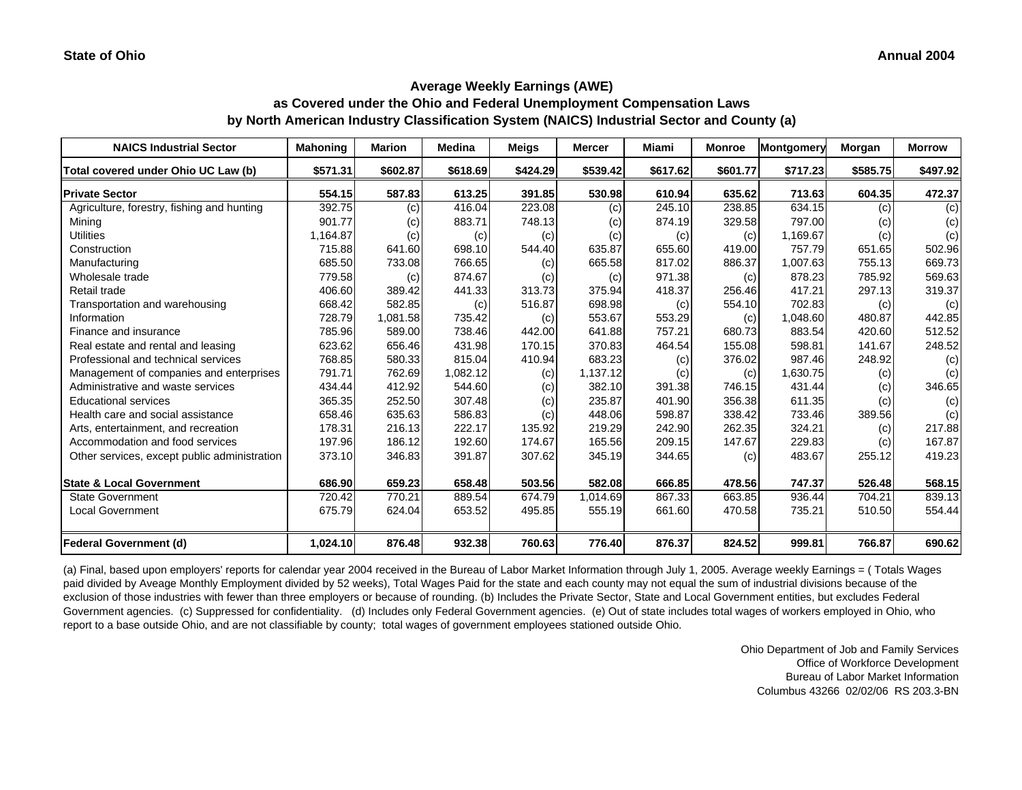#### **Average Weekly Earnings (AWE) as Covered under the Ohio and Federal Unemployment Compensation Laws by North American Industry Classification System (NAICS) Industrial Sector and County (a)**

| <b>NAICS Industrial Sector</b>               | <b>Mahoning</b> | <b>Marion</b> | <b>Medina</b> | <b>Meigs</b> | <b>Mercer</b> | Miami    | <b>Monroe</b> | <b>Montgomery</b> | Morgan   | <b>Morrow</b> |
|----------------------------------------------|-----------------|---------------|---------------|--------------|---------------|----------|---------------|-------------------|----------|---------------|
| Total covered under Ohio UC Law (b)          | \$571.31        | \$602.87      | \$618.69      | \$424.29     | \$539.42      | \$617.62 | \$601.77      | \$717.23          | \$585.75 | \$497.92      |
| <b>Private Sector</b>                        | 554.15          | 587.83        | 613.25        | 391.85       | 530.98        | 610.94   | 635.62        | 713.63            | 604.35   | 472.37        |
| Agriculture, forestry, fishing and hunting   | 392.75          | (c)           | 416.04        | 223.08       | (c)           | 245.10   | 238.85        | 634.15            | (c)      | (c)           |
| Mining                                       | 901.77          | (c)           | 883.71        | 748.13       | (c)           | 874.19   | 329.58        | 797.00            | (c)      | (c)           |
| <b>Utilities</b>                             | 1,164.87        | (c)           | (c)           | (c)          | (c)           | (c)      | (c)           | 1,169.67          | (c)      | (c)           |
| Construction                                 | 715.88          | 641.60        | 698.10        | 544.40       | 635.87        | 655.60   | 419.00        | 757.79            | 651.65   | 502.96        |
| Manufacturing                                | 685.50          | 733.08        | 766.65        | (c)          | 665.58        | 817.02   | 886.37        | 1,007.63          | 755.13   | 669.73        |
| Wholesale trade                              | 779.58          | (c)           | 874.67        | (c)          | (c)           | 971.38   | (c)           | 878.23            | 785.92   | 569.63        |
| Retail trade                                 | 406.60          | 389.42        | 441.33        | 313.73       | 375.94        | 418.37   | 256.46        | 417.21            | 297.13   | 319.37        |
| Transportation and warehousing               | 668.42          | 582.85        | (c)           | 516.87       | 698.98        | (c)      | 554.10        | 702.83            | (c)      | (c)           |
| Information                                  | 728.79          | 1,081.58      | 735.42        | (c)          | 553.67        | 553.29   | (c)           | 1,048.60          | 480.87   | 442.85        |
| Finance and insurance                        | 785.96          | 589.00        | 738.46        | 442.00       | 641.88        | 757.21   | 680.73        | 883.54            | 420.60   | 512.52        |
| Real estate and rental and leasing           | 623.62          | 656.46        | 431.98        | 170.15       | 370.83        | 464.54   | 155.08        | 598.81            | 141.67   | 248.52        |
| Professional and technical services          | 768.85          | 580.33        | 815.04        | 410.94       | 683.23        | (c)      | 376.02        | 987.46            | 248.92   | (c)           |
| Management of companies and enterprises      | 791.71          | 762.69        | 1,082.12      | (c)          | 1,137.12      | (c)      | (c)           | 1.630.75          | (c)      | (c)           |
| Administrative and waste services            | 434.44          | 412.92        | 544.60        | (c)          | 382.10        | 391.38   | 746.15        | 431.44            | (c)      | 346.65        |
| <b>Educational services</b>                  | 365.35          | 252.50        | 307.48        | (c)          | 235.87        | 401.90   | 356.38        | 611.35            | (c)      | (c)           |
| Health care and social assistance            | 658.46          | 635.63        | 586.83        | (c)          | 448.06        | 598.87   | 338.42        | 733.46            | 389.56   | (c)           |
| Arts, entertainment, and recreation          | 178.31          | 216.13        | 222.17        | 135.92       | 219.29        | 242.90   | 262.35        | 324.21            | (c)      | 217.88        |
| Accommodation and food services              | 197.96          | 186.12        | 192.60        | 174.67       | 165.56        | 209.15   | 147.67        | 229.83            | (c)      | 167.87        |
| Other services, except public administration | 373.10          | 346.83        | 391.87        | 307.62       | 345.19        | 344.65   | (c)           | 483.67            | 255.12   | 419.23        |
|                                              |                 |               |               |              |               |          |               |                   |          |               |
| <b>State &amp; Local Government</b>          | 686.90          | 659.23        | 658.48        | 503.56       | 582.08        | 666.85   | 478.56        | 747.37            | 526.48   | 568.15        |
| <b>State Government</b>                      | 720.42          | 770.21        | 889.54        | 674.79       | 1,014.69      | 867.33   | 663.85        | 936.44            | 704.21   | 839.13        |
| <b>Local Government</b>                      | 675.79          | 624.04        | 653.52        | 495.85       | 555.19        | 661.60   | 470.58        | 735.21            | 510.50   | 554.44        |
| <b>Federal Government (d)</b>                | 1,024.10        | 876.48        | 932.38        | 760.63       | 776.40        | 876.37   | 824.52        | 999.81            | 766.87   | 690.62        |

(a) Final, based upon employers' reports for calendar year 2004 received in the Bureau of Labor Market Information through July 1, 2005. Average weekly Earnings = ( Totals Wages paid divided by Aveage Monthly Employment divided by 52 weeks), Total Wages Paid for the state and each county may not equal the sum of industrial divisions because of the exclusion of those industries with fewer than three employers or because of rounding. (b) Includes the Private Sector, State and Local Government entities, but excludes Federal Government agencies. (c) Suppressed for confidentiality. (d) Includes only Federal Government agencies. (e) Out of state includes total wages of workers employed in Ohio, who report to a base outside Ohio, and are not classifiable by county; total wages of government employees stationed outside Ohio.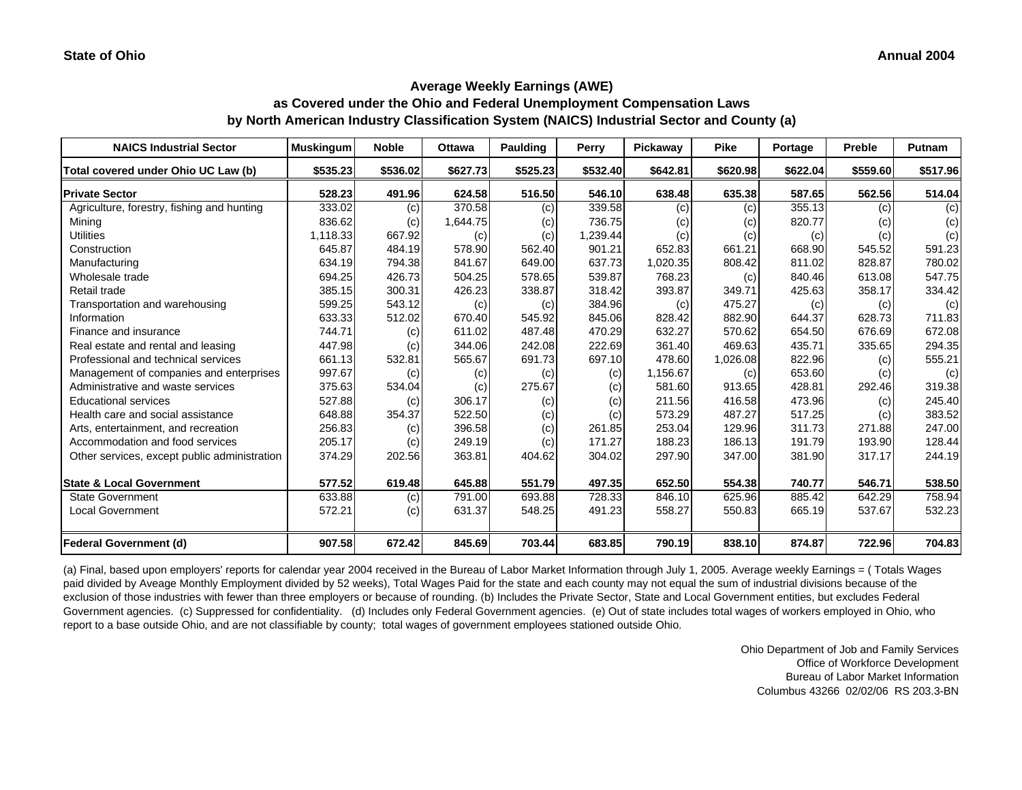**as Covered under the Ohio and Federal Unemployment Compensation Laws by North American Industry Classification System (NAICS) Industrial Sector and County (a)**

| <b>NAICS Industrial Sector</b>               | <b>Muskingum</b> | <b>Noble</b> | <b>Ottawa</b> | Paulding | Perry    | Pickaway | <b>Pike</b> | Portage  | <b>Preble</b> | <b>Putnam</b> |
|----------------------------------------------|------------------|--------------|---------------|----------|----------|----------|-------------|----------|---------------|---------------|
| Total covered under Ohio UC Law (b)          | \$535.23         | \$536.02     | \$627.73      | \$525.23 | \$532.40 | \$642.81 | \$620.98    | \$622.04 | \$559.60      | \$517.96      |
| <b>Private Sector</b>                        | 528.23           | 491.96       | 624.58        | 516.50   | 546.10   | 638.48   | 635.38      | 587.65   | 562.56        | 514.04        |
| Agriculture, forestry, fishing and hunting   | 333.02           | (c)          | 370.58        | (c)      | 339.58   | (c)      | (c)         | 355.13   | (c)           | (c)           |
| Mining                                       | 836.62           | (c)          | 1,644.75      | (c)      | 736.75   | (c)      | (c)         | 820.77   | (c)           | (c)           |
| <b>Utilities</b>                             | 1,118.33         | 667.92       | (c)           | (c)      | 1,239.44 | (c)      | (c)         | (c)      | (c)           | (c)           |
| Construction                                 | 645.87           | 484.19       | 578.90        | 562.40   | 901.21   | 652.83   | 661.21      | 668.90   | 545.52        | 591.23        |
| Manufacturing                                | 634.19           | 794.38       | 841.67        | 649.00   | 637.73   | 1,020.35 | 808.42      | 811.02   | 828.87        | 780.02        |
| Wholesale trade                              | 694.25           | 426.73       | 504.25        | 578.65   | 539.87   | 768.23   | (c)         | 840.46   | 613.08        | 547.75        |
| Retail trade                                 | 385.15           | 300.31       | 426.23        | 338.87   | 318.42   | 393.87   | 349.71      | 425.63   | 358.17        | 334.42        |
| Transportation and warehousing               | 599.25           | 543.12       | (c)           | (c)      | 384.96   | (c)      | 475.27      | (c)      | (c)           | (c)           |
| Information                                  | 633.33           | 512.02       | 670.40        | 545.92   | 845.06   | 828.42   | 882.90      | 644.37   | 628.73        | 711.83        |
| Finance and insurance                        | 744.71           | (c)          | 611.02        | 487.48   | 470.29   | 632.27   | 570.62      | 654.50   | 676.69        | 672.08        |
| Real estate and rental and leasing           | 447.98           | (c)          | 344.06        | 242.08   | 222.69   | 361.40   | 469.63      | 435.71   | 335.65        | 294.35        |
| Professional and technical services          | 661.13           | 532.81       | 565.67        | 691.73   | 697.10   | 478.60   | 1,026.08    | 822.96   | (c)           | 555.21        |
| Management of companies and enterprises      | 997.67           | (c)          | (c)           | (c)      | (c)      | 1,156.67 | (c)         | 653.60   | (c)           | (c)           |
| Administrative and waste services            | 375.63           | 534.04       | (c)           | 275.67   | (c)      | 581.60   | 913.65      | 428.81   | 292.46        | 319.38        |
| <b>Educational services</b>                  | 527.88           | (c)          | 306.17        | (c)      | (c)      | 211.56   | 416.58      | 473.96   | (c)           | 245.40        |
| Health care and social assistance            | 648.88           | 354.37       | 522.50        | (c)      | (c)      | 573.29   | 487.27      | 517.25   | (c)           | 383.52        |
| Arts, entertainment, and recreation          | 256.83           | (c)          | 396.58        | (c)      | 261.85   | 253.04   | 129.96      | 311.73   | 271.88        | 247.00        |
| Accommodation and food services              | 205.17           | (c)          | 249.19        | (c)      | 171.27   | 188.23   | 186.13      | 191.79   | 193.90        | 128.44        |
| Other services, except public administration | 374.29           | 202.56       | 363.81        | 404.62   | 304.02   | 297.90   | 347.00      | 381.90   | 317.17        | 244.19        |
| <b>State &amp; Local Government</b>          | 577.52           | 619.48       | 645.88        | 551.79   | 497.35   | 652.50   | 554.38      | 740.77   | 546.71        | 538.50        |
| <b>State Government</b>                      | 633.88           | (c)          | 791.00        | 693.88   | 728.33   | 846.10   | 625.96      | 885.42   | 642.29        | 758.94        |
| <b>Local Government</b>                      | 572.21           | (c)          | 631.37        | 548.25   | 491.23   | 558.27   | 550.83      | 665.19   | 537.67        | 532.23        |
| <b>Federal Government (d)</b>                | 907.58           | 672.42       | 845.69        | 703.44   | 683.85   | 790.19   | 838.10      | 874.87   | 722.96        | 704.83        |

(a) Final, based upon employers' reports for calendar year 2004 received in the Bureau of Labor Market Information through July 1, 2005. Average weekly Earnings = ( Totals Wages paid divided by Aveage Monthly Employment divided by 52 weeks), Total Wages Paid for the state and each county may not equal the sum of industrial divisions because of the exclusion of those industries with fewer than three employers or because of rounding. (b) Includes the Private Sector, State and Local Government entities, but excludes Federal Government agencies. (c) Suppressed for confidentiality. (d) Includes only Federal Government agencies. (e) Out of state includes total wages of workers employed in Ohio, who report to a base outside Ohio, and are not classifiable by county; total wages of government employees stationed outside Ohio.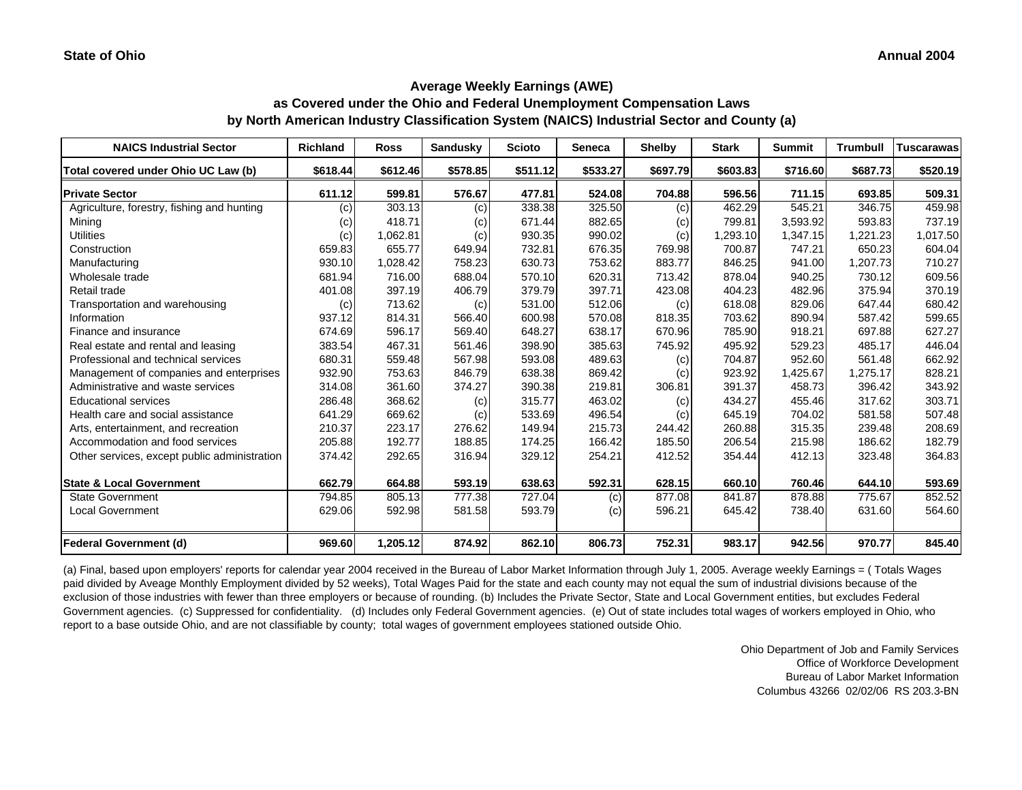**as Covered under the Ohio and Federal Unemployment Compensation Laws by North American Industry Classification System (NAICS) Industrial Sector and County (a)**

| <b>NAICS Industrial Sector</b>               | <b>Richland</b> | <b>Ross</b> | <b>Sandusky</b> | <b>Scioto</b> | <b>Seneca</b> | <b>Shelby</b> | <b>Stark</b> | <b>Summit</b> | <b>Trumbull</b> | Tuscarawas |
|----------------------------------------------|-----------------|-------------|-----------------|---------------|---------------|---------------|--------------|---------------|-----------------|------------|
| Total covered under Ohio UC Law (b)          | \$618.44        | \$612.46    | \$578.85        | \$511.12      | \$533.27      | \$697.79      | \$603.83     | \$716.60      | \$687.73        | \$520.19   |
| <b>Private Sector</b>                        | 611.12          | 599.81      | 576.67          | 477.81        | 524.08        | 704.88        | 596.56       | 711.15        | 693.85          | 509.31     |
| Agriculture, forestry, fishing and hunting   | (c)             | 303.13      | (c)             | 338.38        | 325.50        | (c)           | 462.29       | 545.21        | 346.75          | 459.98     |
| Mining                                       | (c)             | 418.71      | (c)             | 671.44        | 882.65        | (c)           | 799.81       | 3,593.92      | 593.83          | 737.19     |
| <b>Utilities</b>                             | (c)             | 1,062.81    | (c)             | 930.35        | 990.02        | (c)           | 1,293.10     | 1,347.15      | 1,221.23        | 1,017.50   |
| Construction                                 | 659.83          | 655.77      | 649.94          | 732.81        | 676.35        | 769.98        | 700.87       | 747.21        | 650.23          | 604.04     |
| Manufacturing                                | 930.10          | 1,028.42    | 758.23          | 630.73        | 753.62        | 883.77        | 846.25       | 941.00        | 1,207.73        | 710.27     |
| Wholesale trade                              | 681.94          | 716.00      | 688.04          | 570.10        | 620.31        | 713.42        | 878.04       | 940.25        | 730.12          | 609.56     |
| Retail trade                                 | 401.08          | 397.19      | 406.79          | 379.79        | 397.71        | 423.08        | 404.23       | 482.96        | 375.94          | 370.19     |
| Transportation and warehousing               | (c)             | 713.62      | (c)             | 531.00        | 512.06        | (c)           | 618.08       | 829.06        | 647.44          | 680.42     |
| Information                                  | 937.12          | 814.31      | 566.40          | 600.98        | 570.08        | 818.35        | 703.62       | 890.94        | 587.42          | 599.65     |
| Finance and insurance                        | 674.69          | 596.17      | 569.40          | 648.27        | 638.17        | 670.96        | 785.90       | 918.21        | 697.88          | 627.27     |
| Real estate and rental and leasing           | 383.54          | 467.31      | 561.46          | 398.90        | 385.63        | 745.92        | 495.92       | 529.23        | 485.17          | 446.04     |
| Professional and technical services          | 680.31          | 559.48      | 567.98          | 593.08        | 489.63        | (c)           | 704.87       | 952.60        | 561.48          | 662.92     |
| Management of companies and enterprises      | 932.90          | 753.63      | 846.79          | 638.38        | 869.42        | (c)           | 923.92       | 1,425.67      | 1,275.17        | 828.21     |
| Administrative and waste services            | 314.08          | 361.60      | 374.27          | 390.38        | 219.81        | 306.81        | 391.37       | 458.73        | 396.42          | 343.92     |
| <b>Educational services</b>                  | 286.48          | 368.62      | (c)             | 315.77        | 463.02        | (c)           | 434.27       | 455.46        | 317.62          | 303.71     |
| Health care and social assistance            | 641.29          | 669.62      | (c)             | 533.69        | 496.54        | (c)           | 645.19       | 704.02        | 581.58          | 507.48     |
| Arts, entertainment, and recreation          | 210.37          | 223.17      | 276.62          | 149.94        | 215.73        | 244.42        | 260.88       | 315.35        | 239.48          | 208.69     |
| Accommodation and food services              | 205.88          | 192.77      | 188.85          | 174.25        | 166.42        | 185.50        | 206.54       | 215.98        | 186.62          | 182.79     |
| Other services, except public administration | 374.42          | 292.65      | 316.94          | 329.12        | 254.21        | 412.52        | 354.44       | 412.13        | 323.48          | 364.83     |
| <b>State &amp; Local Government</b>          | 662.79          | 664.88      | 593.19          | 638.63        | 592.31        | 628.15        | 660.10       | 760.46        | 644.10          | 593.69     |
| <b>State Government</b>                      | 794.85          | 805.13      | 777.38          | 727.04        | (c)           | 877.08        | 841.87       | 878.88        | 775.67          | 852.52     |
| Local Government                             | 629.06          | 592.98      | 581.58          | 593.79        | (c)           | 596.21        | 645.42       | 738.40        | 631.60          | 564.60     |
| <b>Federal Government (d)</b>                | 969.60          | 1,205.12    | 874.92          | 862.10        | 806.73        | 752.31        | 983.17       | 942.56        | 970.77          | 845.40     |

(a) Final, based upon employers' reports for calendar year 2004 received in the Bureau of Labor Market Information through July 1, 2005. Average weekly Earnings = ( Totals Wages paid divided by Aveage Monthly Employment divided by 52 weeks), Total Wages Paid for the state and each county may not equal the sum of industrial divisions because of the exclusion of those industries with fewer than three employers or because of rounding. (b) Includes the Private Sector, State and Local Government entities, but excludes Federal Government agencies. (c) Suppressed for confidentiality. (d) Includes only Federal Government agencies. (e) Out of state includes total wages of workers employed in Ohio, who report to a base outside Ohio, and are not classifiable by county; total wages of government employees stationed outside Ohio.